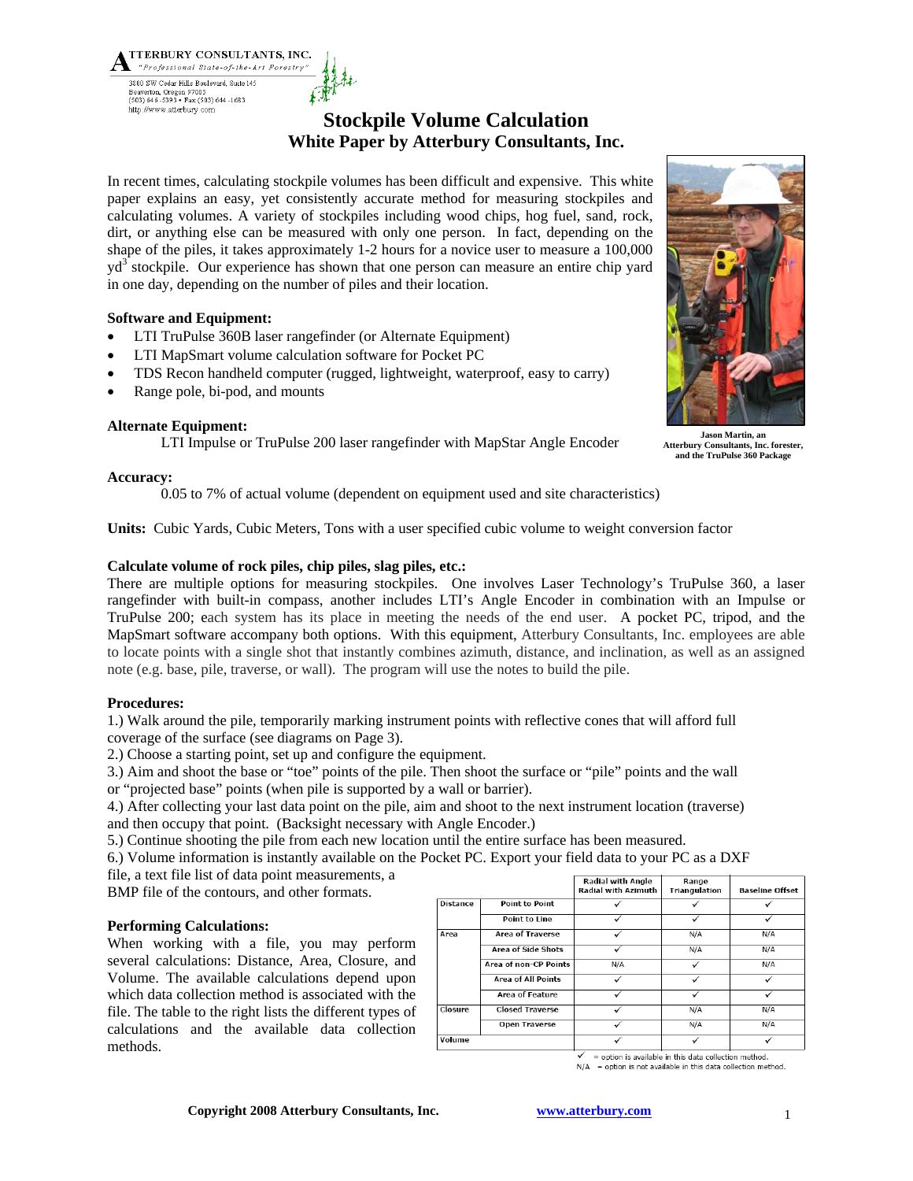## **Stockpile Volume Calculation White Paper by Atterbury Consultants, Inc.**

In recent times, calculating stockpile volumes has been difficult and expensive. This white paper explains an easy, yet consistently accurate method for measuring stockpiles and calculating volumes. A variety of stockpiles including wood chips, hog fuel, sand, rock, dirt, or anything else can be measured with only one person. In fact, depending on the shape of the piles, it takes approximately 1-2 hours for a novice user to measure a 100,000 yd<sup>3</sup> stockpile. Our experience has shown that one person can measure an entire chip yard in one day, depending on the number of piles and their location.

### **Software and Equipment:**

- LTI TruPulse 360B laser rangefinder (or Alternate Equipment)
- LTI MapSmart volume calculation software for Pocket PC
- TDS Recon handheld computer (rugged, lightweight, waterproof, easy to carry)
- Range pole, bi-pod, and mounts

TTERBURY CONSULTANTS, INC. "Professional State-of-the-Art Forestry"

3800 SW Cedar Hills Boulevard, Suite 145 Beaverton, Oregon 97005<br>(503) 646-5393 • Fax (503) 644-1683 http://www.atterbury.com

### **Alternate Equipment:**

LTI Impulse or TruPulse 200 laser rangefinder with MapStar Angle Encoder

### **Accuracy:**

0.05 to 7% of actual volume (dependent on equipment used and site characteristics)

**Units:** Cubic Yards, Cubic Meters, Tons with a user specified cubic volume to weight conversion factor

### **Calculate volume of rock piles, chip piles, slag piles, etc.:**

There are multiple options for measuring stockpiles. One involves Laser Technology's TruPulse 360, a laser rangefinder with built-in compass, another includes LTI's Angle Encoder in combination with an Impulse or TruPulse 200; each system has its place in meeting the needs of the end user. A pocket PC, tripod, and the MapSmart software accompany both options. With this equipment, Atterbury Consultants, Inc. employees are able to locate points with a single shot that instantly combines azimuth, distance, and inclination, as well as an assigned note (e.g. base, pile, traverse, or wall). The program will use the notes to build the pile.

### **Procedures:**

1.) Walk around the pile, temporarily marking instrument points with reflective cones that will afford full coverage of the surface (see diagrams on Page 3).

2.) Choose a starting point, set up and configure the equipment.

3.) Aim and shoot the base or "toe" points of the pile. Then shoot the surface or "pile" points and the wall

or "projected base" points (when pile is supported by a wall or barrier).

4.) After collecting your last data point on the pile, aim and shoot to the next instrument location (traverse) and then occupy that point. (Backsight necessary with Angle Encoder.)

5.) Continue shooting the pile from each new location until the entire surface has been measured.

6.) Volume information is instantly available on the Pocket PC. Export your field data to your PC as a DXF

file, a text file list of data point measurements, a

BMP file of the contours, and other formats.

### **Performing Calculations:**

When working with a file, you may perform several calculations: Distance, Area, Closure, and Volume. The available calculations depend upon which data collection method is associated with the file. The table to the right lists the different types of calculations and the available data collection methods.

|          |                           | <b>Radial with Angle</b><br><b>Radial with Azimuth</b> | Range<br>Triangulation | <b>Baseline Offset</b> |
|----------|---------------------------|--------------------------------------------------------|------------------------|------------------------|
| Distance | Point to Point            |                                                        |                        |                        |
|          | Point to Line             |                                                        | ✓                      |                        |
| Area     | <b>Area of Traverse</b>   |                                                        | N/A                    | N/A                    |
|          | <b>Area of Side Shots</b> |                                                        | N/A                    | N/A                    |
|          | Area of non-CP Points     | N/A                                                    |                        | N/A                    |
|          | <b>Area of All Points</b> |                                                        | ✓                      |                        |
|          | <b>Area of Feature</b>    |                                                        |                        |                        |
| Closure  | <b>Closed Traverse</b>    | $\checkmark$                                           | N/A                    | N/A                    |
|          | <b>Open Traverse</b>      |                                                        | N/A                    | N/A                    |
| Volume   |                           |                                                        |                        |                        |

= option is available in this data collection method.  $N/A$  = option is not available in this data collection method.





**Atterbury Consultants, Inc. forester, and the TruPulse 360 Package**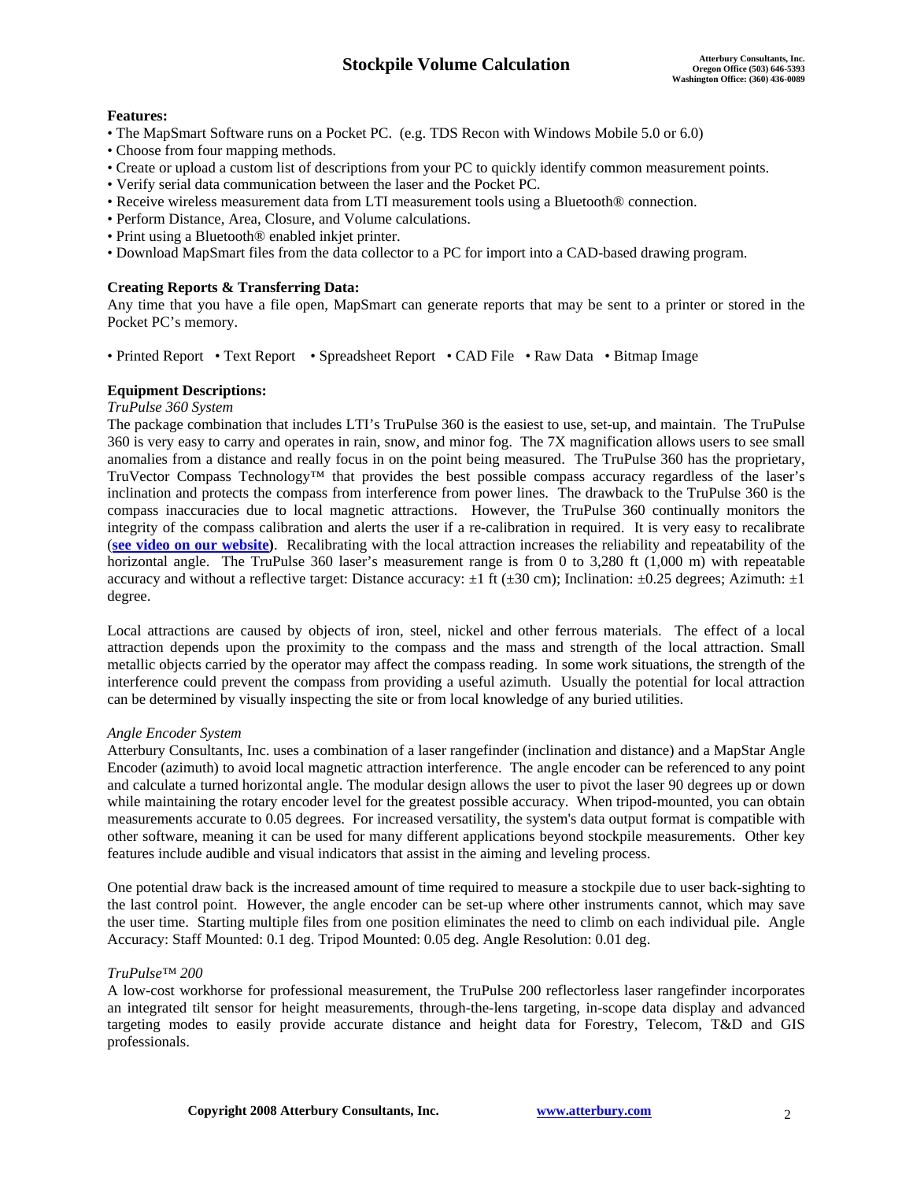### **Features:**

- The MapSmart Software runs on a Pocket PC. (e.g. TDS Recon with Windows Mobile 5.0 or 6.0)
- Choose from four mapping methods.
- Create or upload a custom list of descriptions from your PC to quickly identify common measurement points.
- Verify serial data communication between the laser and the Pocket PC.
- Receive wireless measurement data from LTI measurement tools using a Bluetooth® connection.
- Perform Distance, Area, Closure, and Volume calculations.
- Print using a Bluetooth® enabled inkjet printer.
- Download MapSmart files from the data collector to a PC for import into a CAD-based drawing program.

### **Creating Reports & Transferring Data:**

Any time that you have a file open, MapSmart can generate reports that may be sent to a printer or stored in the Pocket PC's memory.

• Printed Report • Text Report • Spreadsheet Report • CAD File • Raw Data • Bitmap Image

### **Equipment Descriptions:**

### *TruPulse 360 System*

The package combination that includes LTI's TruPulse 360 is the easiest to use, set-up, and maintain. The TruPulse 360 is very easy to carry and operates in rain, snow, and minor fog. The 7X magnification allows users to see small anomalies from a distance and really focus in on the point being measured. The TruPulse 360 has the proprietary, TruVector Compass Technology™ that provides the best possible compass accuracy regardless of the laser's inclination and protects the compass from interference from power lines. The drawback to the TruPulse 360 is the compass inaccuracies due to local magnetic attractions. However, the TruPulse 360 continually monitors the integrity of the compass calibration and alerts the user if a re-calibration in required. It is very easy to recalibrate (**see video on our website)**. Recalibrating with the local attraction increases the reliability and repeatability of the horizontal angle. The TruPulse 360 laser's measurement range is from 0 to 3,280 ft (1,000 m) with repeatable accuracy and without a reflective target: Distance accuracy:  $\pm 1$  ft ( $\pm 30$  cm); Inclination:  $\pm 0.25$  degrees; Azimuth:  $\pm 1$ degree.

Local attractions are caused by objects of iron, steel, nickel and other ferrous materials. The effect of a local attraction depends upon the proximity to the compass and the mass and strength of the local attraction. Small metallic objects carried by the operator may affect the compass reading. In some work situations, the strength of the interference could prevent the compass from providing a useful azimuth. Usually the potential for local attraction can be determined by visually inspecting the site or from local knowledge of any buried utilities.

### *Angle Encoder System*

Atterbury Consultants, Inc. uses a combination of a laser rangefinder (inclination and distance) and a MapStar Angle Encoder (azimuth) to avoid local magnetic attraction interference. The angle encoder can be referenced to any point and calculate a turned horizontal angle. The modular design allows the user to pivot the laser 90 degrees up or down while maintaining the rotary encoder level for the greatest possible accuracy. When tripod-mounted, you can obtain measurements accurate to 0.05 degrees. For increased versatility, the system's data output format is compatible with other software, meaning it can be used for many different applications beyond stockpile measurements. Other key features include audible and visual indicators that assist in the aiming and leveling process.

One potential draw back is the increased amount of time required to measure a stockpile due to user back-sighting to the last control point. However, the angle encoder can be set-up where other instruments cannot, which may save the user time. Starting multiple files from one position eliminates the need to climb on each individual pile. Angle Accuracy: Staff Mounted: 0.1 deg. Tripod Mounted: 0.05 deg. Angle Resolution: 0.01 deg.

### *TruPulse™ 200*

A low-cost workhorse for professional measurement, the TruPulse 200 reflectorless laser rangefinder incorporates an integrated tilt sensor for height measurements, through-the-lens targeting, in-scope data display and advanced targeting modes to easily provide accurate distance and height data for Forestry, Telecom, T&D and GIS professionals.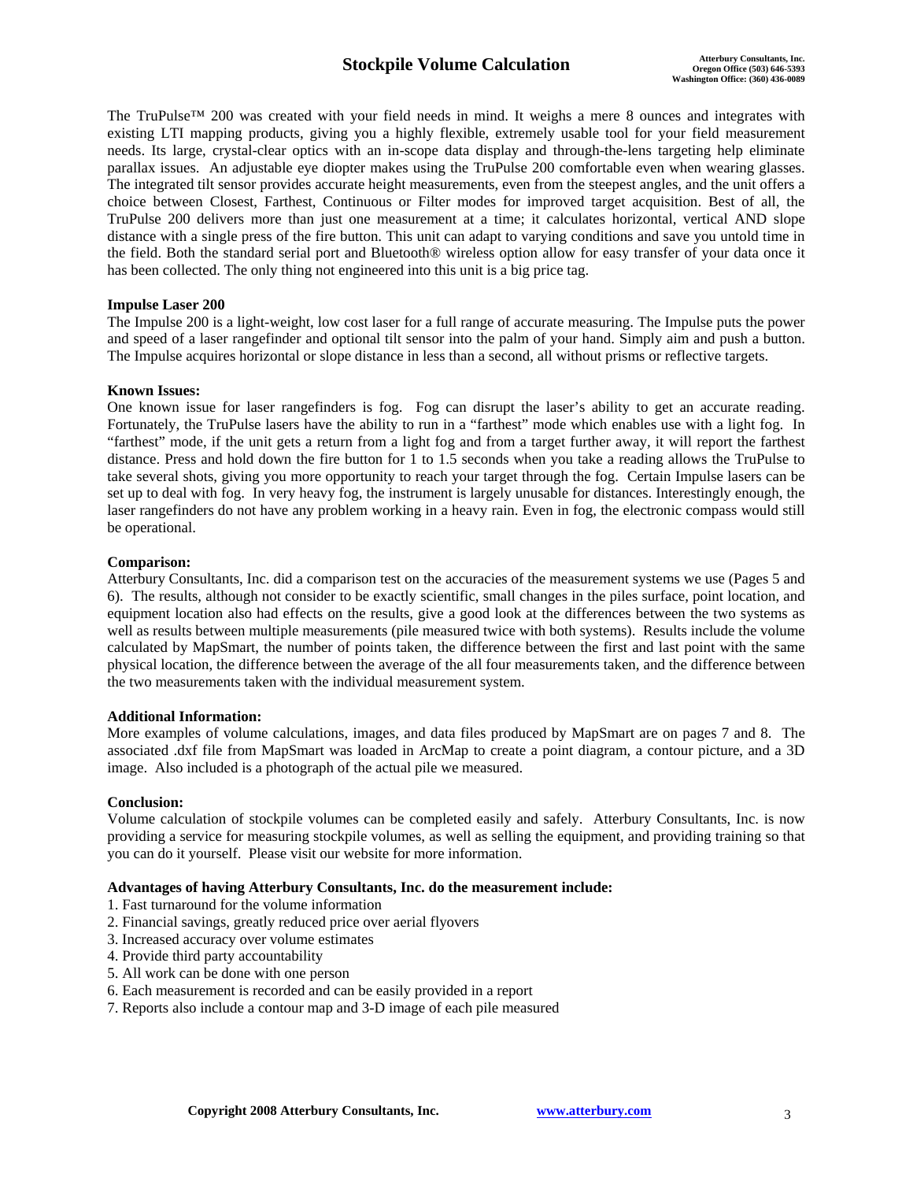The TruPulse™ 200 was created with your field needs in mind. It weighs a mere 8 ounces and integrates with existing LTI mapping products, giving you a highly flexible, extremely usable tool for your field measurement needs. Its large, crystal-clear optics with an in-scope data display and through-the-lens targeting help eliminate parallax issues. An adjustable eye diopter makes using the TruPulse 200 comfortable even when wearing glasses. The integrated tilt sensor provides accurate height measurements, even from the steepest angles, and the unit offers a choice between Closest, Farthest, Continuous or Filter modes for improved target acquisition. Best of all, the TruPulse 200 delivers more than just one measurement at a time; it calculates horizontal, vertical AND slope distance with a single press of the fire button. This unit can adapt to varying conditions and save you untold time in the field. Both the standard serial port and Bluetooth® wireless option allow for easy transfer of your data once it has been collected. The only thing not engineered into this unit is a big price tag.

### **Impulse Laser 200**

The Impulse 200 is a light-weight, low cost laser for a full range of accurate measuring. The Impulse puts the power and speed of a laser rangefinder and optional tilt sensor into the palm of your hand. Simply aim and push a button. The Impulse acquires horizontal or slope distance in less than a second, all without prisms or reflective targets.

### **Known Issues:**

One known issue for laser rangefinders is fog. Fog can disrupt the laser's ability to get an accurate reading. Fortunately, the TruPulse lasers have the ability to run in a "farthest" mode which enables use with a light fog. In "farthest" mode, if the unit gets a return from a light fog and from a target further away, it will report the farthest distance. Press and hold down the fire button for 1 to 1.5 seconds when you take a reading allows the TruPulse to take several shots, giving you more opportunity to reach your target through the fog. Certain Impulse lasers can be set up to deal with fog. In very heavy fog, the instrument is largely unusable for distances. Interestingly enough, the laser rangefinders do not have any problem working in a heavy rain. Even in fog, the electronic compass would still be operational.

### **Comparison:**

Atterbury Consultants, Inc. did a comparison test on the accuracies of the measurement systems we use (Pages 5 and 6). The results, although not consider to be exactly scientific, small changes in the piles surface, point location, and equipment location also had effects on the results, give a good look at the differences between the two systems as well as results between multiple measurements (pile measured twice with both systems). Results include the volume calculated by MapSmart, the number of points taken, the difference between the first and last point with the same physical location, the difference between the average of the all four measurements taken, and the difference between the two measurements taken with the individual measurement system.

### **Additional Information:**

More examples of volume calculations, images, and data files produced by MapSmart are on pages 7 and 8. The associated .dxf file from MapSmart was loaded in ArcMap to create a point diagram, a contour picture, and a 3D image. Also included is a photograph of the actual pile we measured.

### **Conclusion:**

Volume calculation of stockpile volumes can be completed easily and safely. Atterbury Consultants, Inc. is now providing a service for measuring stockpile volumes, as well as selling the equipment, and providing training so that you can do it yourself. Please visit our website for more information.

### **Advantages of having Atterbury Consultants, Inc. do the measurement include:**

- 1. Fast turnaround for the volume information
- 2. Financial savings, greatly reduced price over aerial flyovers
- 3. Increased accuracy over volume estimates
- 4. Provide third party accountability
- 5. All work can be done with one person
- 6. Each measurement is recorded and can be easily provided in a report
- 7. Reports also include a contour map and 3-D image of each pile measured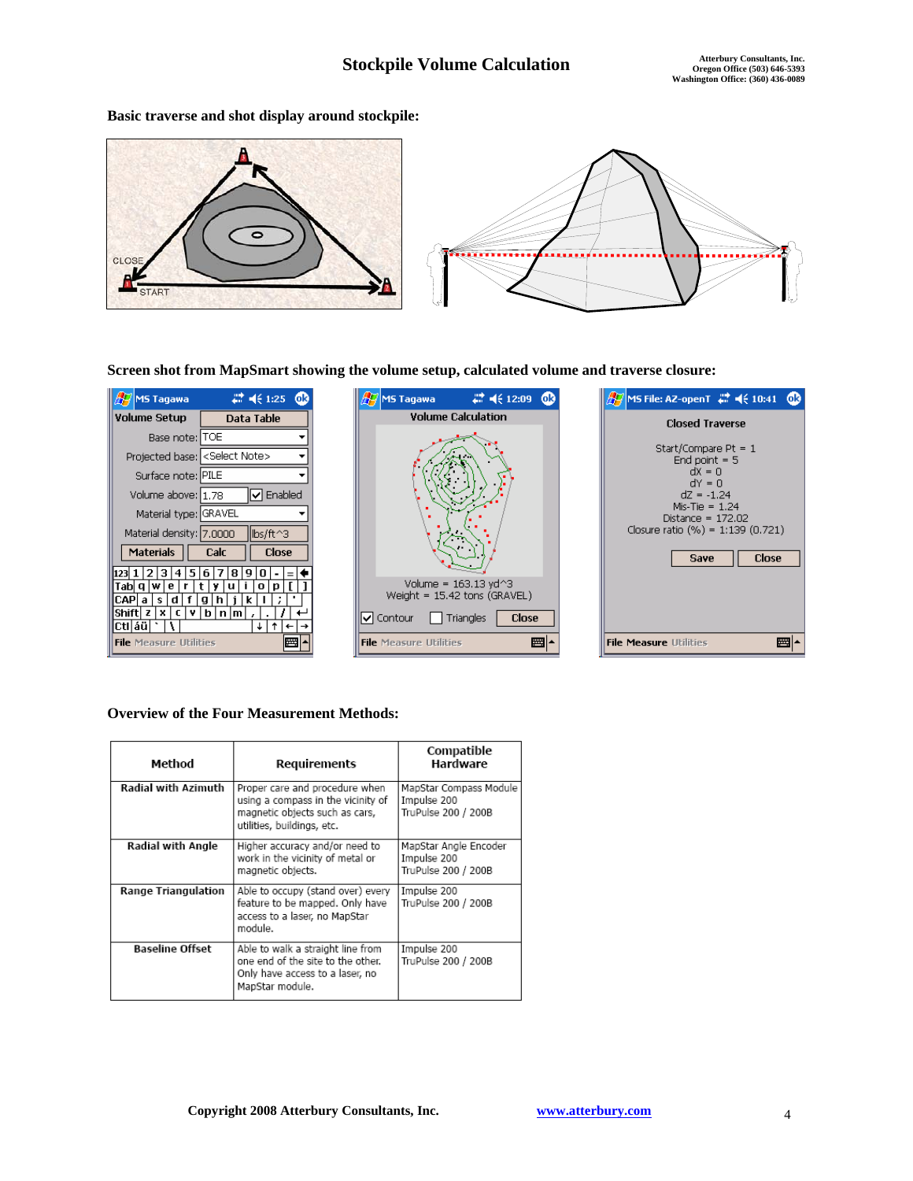$\begin{array}{c}\n\frac{dX}{d} = 0 \\
\frac{dY}{d} = 0\n\end{array}$ 

Save

Close

■1

**Basic traverse and shot display around stockpile:** 



**Screen shot from MapSmart showing the volume setup, calculated volume and traverse closure:** 

| MS Tagawa                                 | # 4€ 1:25<br>бR                                               |  |  |  |
|-------------------------------------------|---------------------------------------------------------------|--|--|--|
| Volume Setup                              | Data Table                                                    |  |  |  |
| Base note:   TOE                          |                                                               |  |  |  |
| Projected base: <select note=""></select> |                                                               |  |  |  |
| Surface note: PILE                        |                                                               |  |  |  |
| Volume above: 1,78                        | $\mathsf{I} \mathord{\blacktriangleright} \mathsf{I}$ Enabled |  |  |  |
| Material type: GRAVEL                     |                                                               |  |  |  |
| Material density: 7,0000                  | lbs/ft^3                                                      |  |  |  |
| Materials                                 | <b>Calc</b><br><b>Close</b>                                   |  |  |  |
| 4 5 6  <br>123 11<br>з                    | я                                                             |  |  |  |
| lwi<br>e<br>r<br>Tabl Q                   | t.<br>٧<br>u<br>n<br>Ω                                        |  |  |  |
| f<br>CAP<br>s<br>а                        | a<br>k                                                        |  |  |  |
| v<br>x<br>r                               |                                                               |  |  |  |
| áü                                        |                                                               |  |  |  |
| <b>File Measure Utilities</b>             |                                                               |  |  |  |



### **Overview of the Four Measurement Methods:**

| Method                     | Requirements                                                                                                                         | Compatible<br>Hardware                                       |
|----------------------------|--------------------------------------------------------------------------------------------------------------------------------------|--------------------------------------------------------------|
| <b>Radial with Azimuth</b> | Proper care and procedure when<br>using a compass in the vicinity of<br>magnetic objects such as cars,<br>utilities, buildinas, etc. | MapStar Compass Module<br>Impulse 200<br>TruPulse 200 / 200B |
| Radial with Angle          | Higher accuracy and/or need to<br>work in the vicinity of metal or<br>magnetic objects.                                              | MapStar Angle Encoder<br>Impulse 200<br>TruPulse 200 / 200B  |
| <b>Range Triangulation</b> | Able to occupy (stand over) every<br>feature to be mapped. Only have<br>access to a laser, no MapStar<br>module.                     | Impulse 200<br>TruPulse 200 / 200B                           |
| <b>Baseline Offset</b>     | Able to walk a straight line from<br>one end of the site to the other.<br>Only have access to a laser, no<br>MapStar module.         | Impulse 200<br>TruPulse 200 / 200B                           |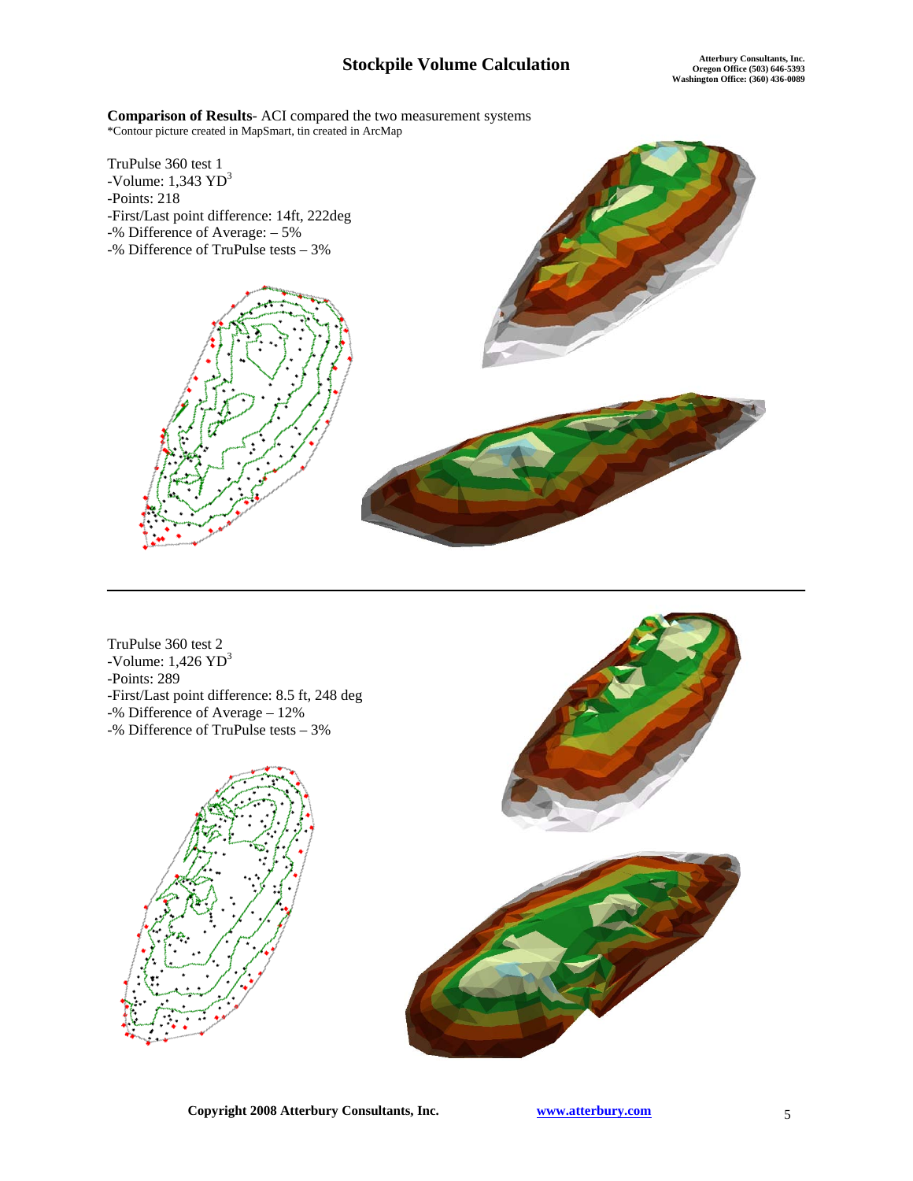**Comparison of Results**- ACI compared the two measurement systems \*Contour picture created in MapSmart, tin created in ArcMap



TruPulse 360 test 2 -Volume:  $1,426 \text{ YD}^3$ -Points: 289 -First/Last point difference: 8.5 ft, 248 deg -% Difference of Average – 12% -% Difference of TruPulse tests – 3%



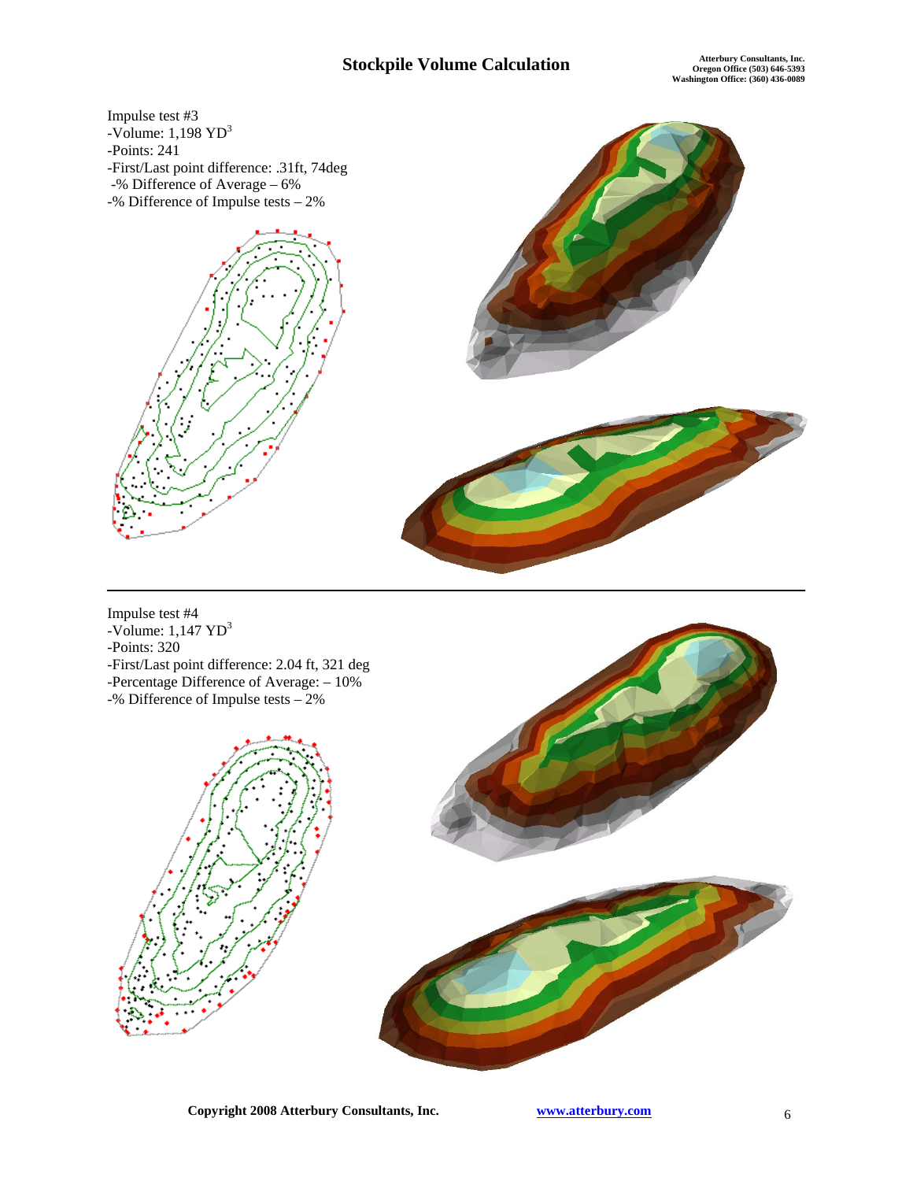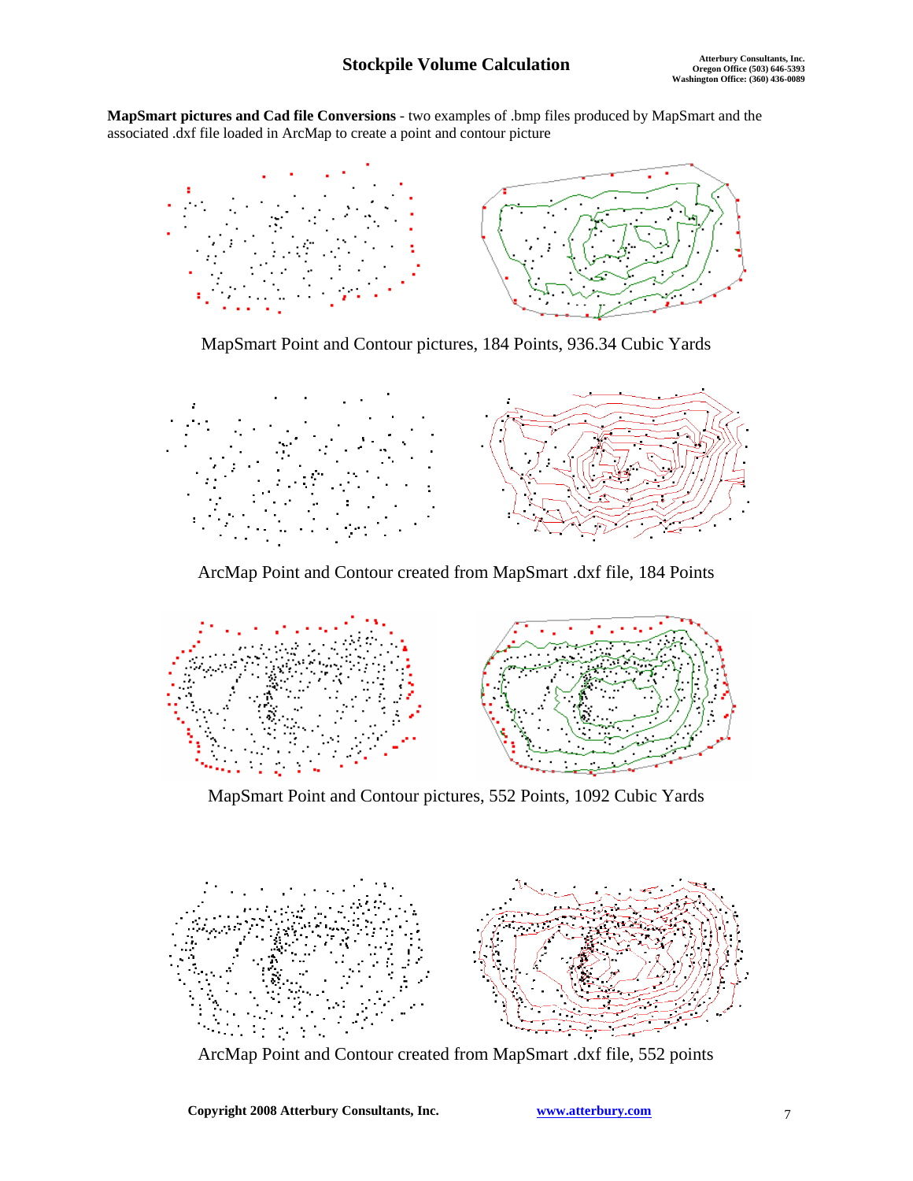**MapSmart pictures and Cad file Conversions** - two examples of .bmp files produced by MapSmart and the associated .dxf file loaded in ArcMap to create a point and contour picture



MapSmart Point and Contour pictures, 184 Points, 936.34 Cubic Yards



ArcMap Point and Contour created from MapSmart .dxf file, 184 Points



MapSmart Point and Contour pictures, 552 Points, 1092 Cubic Yards



ArcMap Point and Contour created from MapSmart .dxf file, 552 points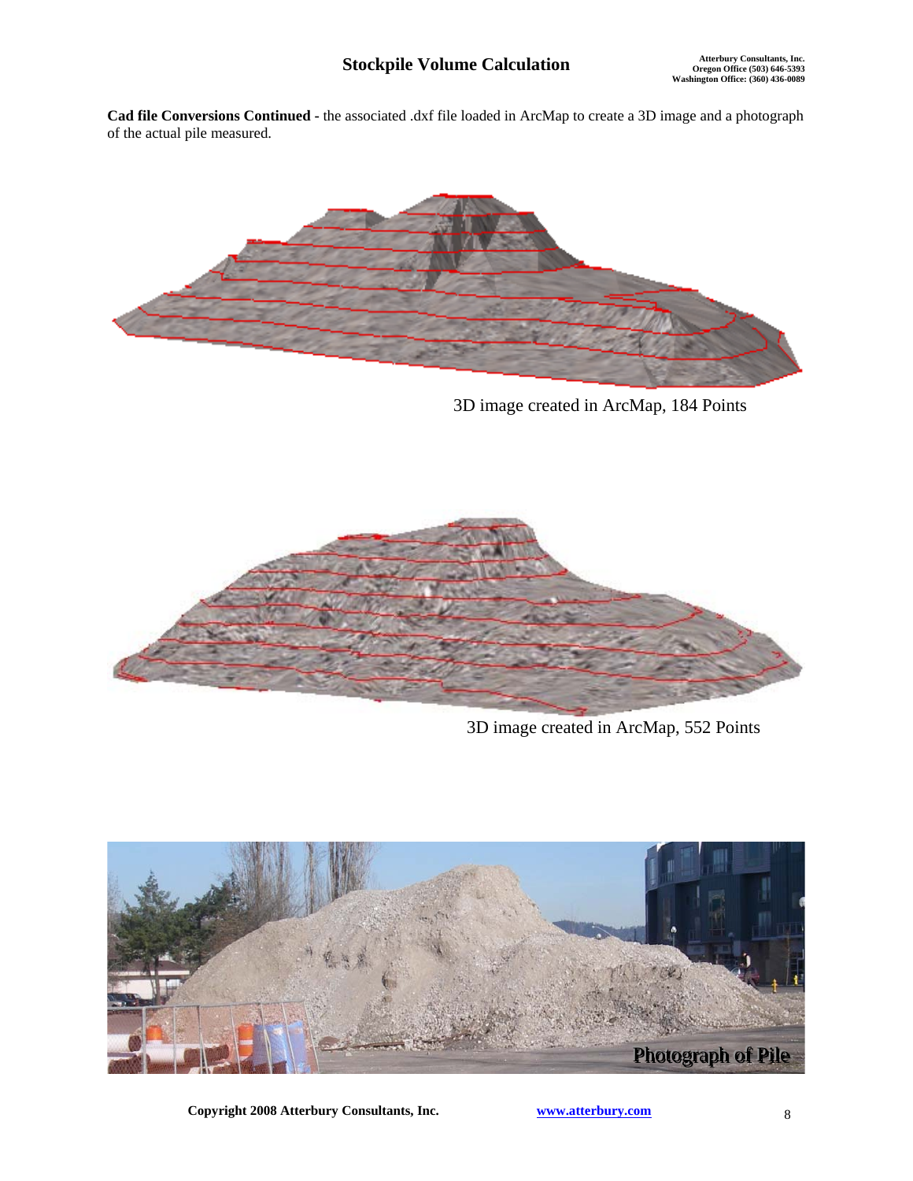**Cad file Conversions Continued -** the associated .dxf file loaded in ArcMap to create a 3D image and a photograph of the actual pile measured.



3D image created in ArcMap, 184 Points



3D image created in ArcMap, 552 Points



**Copyright 2008 Atterbury Consultants, Inc.** www.atterbury.com 8